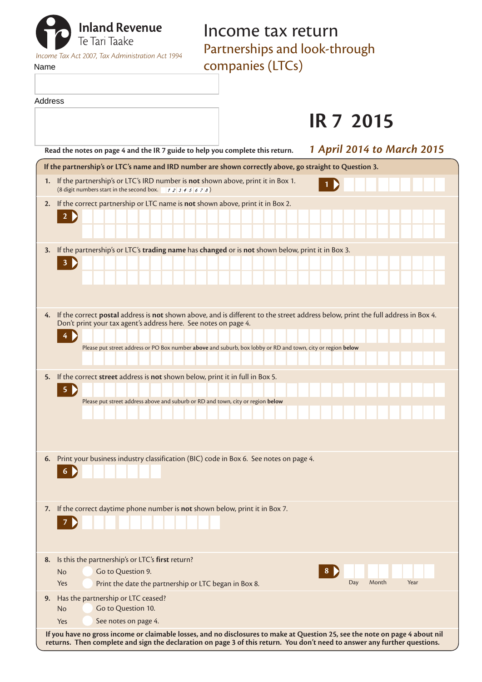| <b>The Tan Tan Tan Tan Tan Tan Tan Tan Avever Street Street Street Street Street Street Street Street Street Street Street Street Street Street Street Street Street Street Street Street Street Street Street Street Street Str</b><br><b>Inland Revenue</b><br>Income Tax Act 2007, Tax Administration Act 1994<br>Name | Income tax return<br>Partnerships and look-through<br>companies (LTCs) |
|---------------------------------------------------------------------------------------------------------------------------------------------------------------------------------------------------------------------------------------------------------------------------------------------------------------------------|------------------------------------------------------------------------|
| Address                                                                                                                                                                                                                                                                                                                   |                                                                        |

|                                                                                                                                                                                                                                                                                                                       | <b>IR 7 2015</b>                  |
|-----------------------------------------------------------------------------------------------------------------------------------------------------------------------------------------------------------------------------------------------------------------------------------------------------------------------|-----------------------------------|
| Read the notes on page 4 and the IR 7 guide to help you complete this return.                                                                                                                                                                                                                                         | <b>1 April 2014 to March 2015</b> |
| If the partnership's or LTC's name and IRD number are shown correctly above, go straight to Question 3.                                                                                                                                                                                                               |                                   |
| 1. If the partnership's or LTC's IRD number is not shown above, print it in Box 1.                                                                                                                                                                                                                                    |                                   |
| If the correct partnership or LTC name is not shown above, print it in Box 2.<br>2.<br>$2 \triangleright$                                                                                                                                                                                                             |                                   |
| 3. If the partnership's or LTC's trading name has changed or is not shown below, print it in Box 3.<br>3 <b>)</b>                                                                                                                                                                                                     |                                   |
| 4. If the correct postal address is not shown above, and is different to the street address below, print the full address in Box 4.<br>Don't print your tax agent's address here. See notes on page 4.<br>Please put street address or PO Box number above and suburb, box lobby or RD and town, city or region below |                                   |
| If the correct street address is not shown below, print it in full in Box 5.<br>5.<br>$5 \n\triangleright$<br>Please put street address above and suburb or RD and town, city or region below                                                                                                                         |                                   |
| 6. Print your business industry classification (BIC) code in Box 6. See notes on page 4.<br>$6 \n\blacktriangleright$                                                                                                                                                                                                 |                                   |
| 7. If the correct daytime phone number is not shown below, print it in Box 7.                                                                                                                                                                                                                                         |                                   |
| Is this the partnership's or LTC's first return?<br>8.<br>Go to Question 9.<br>No<br>Print the date the partnership or LTC began in Box 8.<br>Yes                                                                                                                                                                     | 8<br>Month<br>Year<br>Day         |
| Has the partnership or LTC ceased?<br>9.<br>Go to Question 10.<br><b>No</b><br>See notes on page 4.<br>Yes                                                                                                                                                                                                            |                                   |
|                                                                                                                                                                                                                                                                                                                       |                                   |

**If you have no gross income or claimable losses, and no disclosures to make at Question 25, see the note on page 4 about nil returns. Then complete and sign the declaration on page 3 of this return. You don't need to answer any further questions.**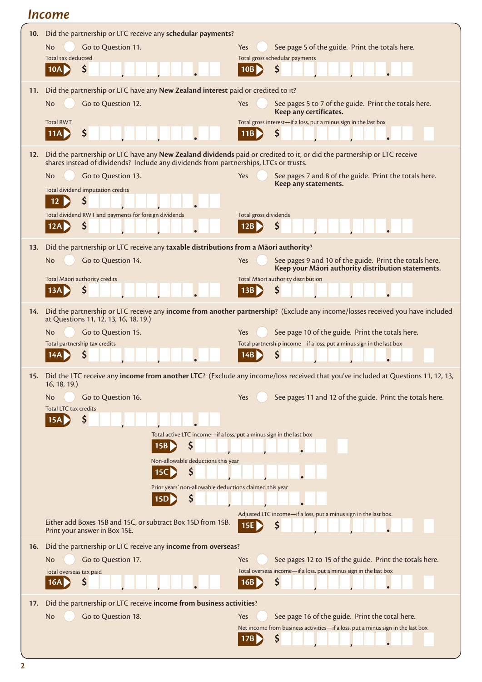# *Income*

| 10. | Did the partnership or LTC receive any schedular payments?                                                                                                                                                       |                                                                                                                                           |
|-----|------------------------------------------------------------------------------------------------------------------------------------------------------------------------------------------------------------------|-------------------------------------------------------------------------------------------------------------------------------------------|
|     | Go to Question 11.<br><b>No</b><br>Total tax deducted                                                                                                                                                            | See page 5 of the guide. Print the totals here.<br>Yes<br>Total gross schedular payments                                                  |
|     | Ş<br>10A                                                                                                                                                                                                         | \$<br>10B                                                                                                                                 |
| 11. | Did the partnership or LTC have any New Zealand interest paid or credited to it?                                                                                                                                 |                                                                                                                                           |
|     | Go to Question 12.<br><b>No</b>                                                                                                                                                                                  | See pages 5 to 7 of the guide. Print the totals here.<br>Yes<br>Keep any certificates.                                                    |
|     | <b>Total RWT</b>                                                                                                                                                                                                 | Total gross interest-if a loss, put a minus sign in the last box                                                                          |
|     | \$<br> 11A                                                                                                                                                                                                       | S<br>11B                                                                                                                                  |
| 12. | Did the partnership or LTC have any New Zealand dividends paid or credited to it, or did the partnership or LTC receive<br>shares instead of dividends? Include any dividends from partnerships, LTCs or trusts. |                                                                                                                                           |
|     | Go to Question 13.<br>No                                                                                                                                                                                         | Yes<br>See pages 7 and 8 of the guide. Print the totals here.<br>Keep any statements.                                                     |
|     | Total dividend imputation credits<br>S<br>12                                                                                                                                                                     |                                                                                                                                           |
|     | Total dividend RWT and payments for foreign dividends                                                                                                                                                            | Total gross dividends                                                                                                                     |
|     | \$<br>12A                                                                                                                                                                                                        | \$<br>12B                                                                                                                                 |
| 13. | Did the partnership or LTC receive any taxable distributions from a Māori authority?                                                                                                                             |                                                                                                                                           |
|     | Go to Question 14.<br>No                                                                                                                                                                                         | See pages 9 and 10 of the guide. Print the totals here.<br>Yes<br>Keep your Māori authority distribution statements.                      |
|     | Total Māori authority credits<br>13A                                                                                                                                                                             | Total Māori authority distribution<br>\$<br>13B                                                                                           |
|     |                                                                                                                                                                                                                  | Did the partnership or LTC receive any income from another partnership? (Exclude any income/losses received you have included             |
| 14. | at Questions 11, 12, 13, 16, 18, 19.)                                                                                                                                                                            |                                                                                                                                           |
|     | Go to Question 15.<br>No<br>Total partnership tax credits                                                                                                                                                        | See page 10 of the guide. Print the totals here.<br>Yes<br>Total partnership income-if a loss, put a minus sign in the last box           |
|     |                                                                                                                                                                                                                  | S<br>14B                                                                                                                                  |
|     | 16, 18, 19.)                                                                                                                                                                                                     | 15. Did the LTC receive any income from another LTC? (Exclude any income/loss received that you've included at Questions 11, 12, 13,      |
|     | Go to Question 16.<br>No.                                                                                                                                                                                        | See pages 11 and 12 of the guide. Print the totals here.<br>Yes                                                                           |
|     | <b>Total LTC tax credits</b><br>15A                                                                                                                                                                              |                                                                                                                                           |
|     | Total active LTC income-if a loss, put a minus sign in the last box                                                                                                                                              |                                                                                                                                           |
|     | \$<br>15B                                                                                                                                                                                                        |                                                                                                                                           |
|     | Non-allowable deductions this year<br>Ş<br>15C                                                                                                                                                                   |                                                                                                                                           |
|     | Prior years' non-allowable deductions claimed this year                                                                                                                                                          |                                                                                                                                           |
|     | S<br> 15D                                                                                                                                                                                                        |                                                                                                                                           |
|     | Either add Boxes 15B and 15C, or subtract Box 15D from 15B.<br>Print your answer in Box 15E.                                                                                                                     | Adjusted LTC income-if a loss, put a minus sign in the last box.<br>Ş<br>15E                                                              |
| 16. | Did the partnership or LTC receive any income from overseas?                                                                                                                                                     |                                                                                                                                           |
|     | Go to Question 17.<br>No                                                                                                                                                                                         | See pages 12 to 15 of the guide. Print the totals here.<br>Yes<br>Total overseas income-if a loss, put a minus sign in the last box       |
|     | Total overseas tax paid<br>\$<br>16A                                                                                                                                                                             | \$<br>16B                                                                                                                                 |
| 17. | Did the partnership or LTC receive income from business activities?                                                                                                                                              |                                                                                                                                           |
|     | Go to Question 18.<br>No.                                                                                                                                                                                        | See page 16 of the guide. Print the total here.<br>Yes<br>Net income from business activities-if a loss, put a minus sign in the last box |
|     |                                                                                                                                                                                                                  | \$<br>17B                                                                                                                                 |
|     |                                                                                                                                                                                                                  |                                                                                                                                           |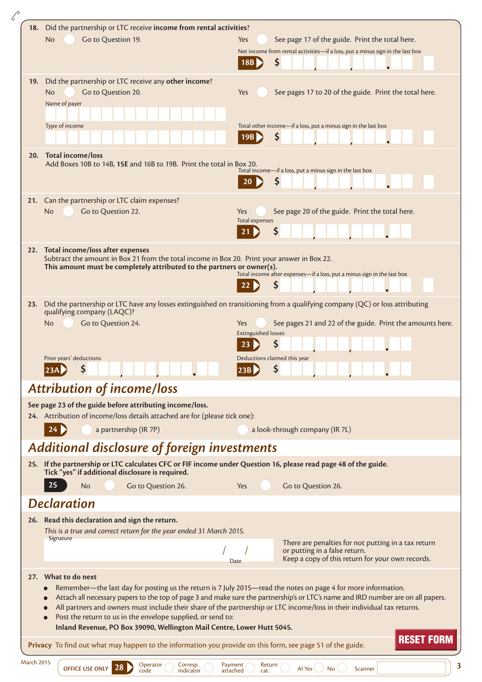| 18. |                                                                                                                                                                                      |                                                                                                                                                       |
|-----|--------------------------------------------------------------------------------------------------------------------------------------------------------------------------------------|-------------------------------------------------------------------------------------------------------------------------------------------------------|
|     | Did the partnership or LTC receive income from rental activities?                                                                                                                    |                                                                                                                                                       |
|     | <b>No</b><br>Go to Question 19.                                                                                                                                                      | See page 17 of the guide. Print the total here.<br>Yes                                                                                                |
|     |                                                                                                                                                                                      | Net income from rental activities-if a loss, put a minus sign in the last box                                                                         |
|     |                                                                                                                                                                                      | \$<br>18B                                                                                                                                             |
| 19. | Did the partnership or LTC receive any other income?                                                                                                                                 |                                                                                                                                                       |
|     | Go to Question 20.<br><b>No</b>                                                                                                                                                      | Yes<br>See pages 17 to 20 of the guide. Print the total here.                                                                                         |
|     | Name of payer                                                                                                                                                                        |                                                                                                                                                       |
|     |                                                                                                                                                                                      |                                                                                                                                                       |
|     | Type of income                                                                                                                                                                       | Total other income-if a loss, put a minus sign in the last box<br>\$                                                                                  |
|     |                                                                                                                                                                                      |                                                                                                                                                       |
|     | 20. Total income/loss                                                                                                                                                                |                                                                                                                                                       |
|     | Add Boxes 10B to 14B, 15E and 16B to 19B. Print the total in Box 20.                                                                                                                 | Total income-if a loss, put a minus sign in the last box                                                                                              |
|     |                                                                                                                                                                                      | Ś                                                                                                                                                     |
|     | 21. Can the partnership or LTC claim expenses?                                                                                                                                       |                                                                                                                                                       |
|     | Go to Question 22.<br><b>No</b>                                                                                                                                                      | See page 20 of the guide. Print the total here.<br>Yes                                                                                                |
|     |                                                                                                                                                                                      | <b>Total expenses</b>                                                                                                                                 |
|     |                                                                                                                                                                                      | Ş                                                                                                                                                     |
|     | 22. Total income/loss after expenses                                                                                                                                                 |                                                                                                                                                       |
|     | Subtract the amount in Box 21 from the total income in Box 20. Print your answer in Box 22.                                                                                          |                                                                                                                                                       |
|     | This amount must be completely attributed to the partners or owner(s).                                                                                                               | Total income after expenses-if a loss, put a minus sign in the last box                                                                               |
|     |                                                                                                                                                                                      | \$                                                                                                                                                    |
| 23. |                                                                                                                                                                                      | Did the partnership or LTC have any losses extinguished on transitioning from a qualifying company (QC) or loss attributing                           |
|     | qualifying company (LAQC)?                                                                                                                                                           |                                                                                                                                                       |
|     | Go to Question 24.<br><b>No</b>                                                                                                                                                      | See pages 21 and 22 of the guide. Print the amounts here.<br>Yes                                                                                      |
|     |                                                                                                                                                                                      | <b>Extinguished losses</b>                                                                                                                            |
|     |                                                                                                                                                                                      | Ş<br>23                                                                                                                                               |
|     |                                                                                                                                                                                      |                                                                                                                                                       |
|     | Prior years' deductions                                                                                                                                                              | Deductions claimed this year                                                                                                                          |
|     | \$<br>23A D<br><u>i bandari ja da da ja da da ka s</u>                                                                                                                               | \$<br>23B                                                                                                                                             |
|     | <b>Attribution of income/loss</b>                                                                                                                                                    |                                                                                                                                                       |
|     | See page 23 of the guide before attributing income/loss.                                                                                                                             |                                                                                                                                                       |
|     | 24. Attribution of income/loss details attached are for (please tick one):                                                                                                           |                                                                                                                                                       |
|     | a partnership (IR 7P)                                                                                                                                                                | a look-through company (IR 7L)                                                                                                                        |
|     |                                                                                                                                                                                      |                                                                                                                                                       |
|     | Additional disclosure of foreign investments                                                                                                                                         |                                                                                                                                                       |
|     | 25. If the partnership or LTC calculates CFC or FIF income under Question 16, please read page 48 of the guide.                                                                      |                                                                                                                                                       |
|     | Tick "yes" if additional disclosure is required.<br>25<br>No                                                                                                                         | Yes                                                                                                                                                   |
|     | Go to Question 26.                                                                                                                                                                   | Go to Question 26.                                                                                                                                    |
|     | <b>Declaration</b>                                                                                                                                                                   |                                                                                                                                                       |
|     | 26. Read this declaration and sign the return.                                                                                                                                       |                                                                                                                                                       |
|     | This is a true and correct return for the year ended 31 March 2015.                                                                                                                  |                                                                                                                                                       |
|     | Signature                                                                                                                                                                            | There are penalties for not putting in a tax return                                                                                                   |
|     |                                                                                                                                                                                      | or putting in a false return.<br>Keep a copy of this return for your own records.<br>Date                                                             |
|     | 27. What to do next                                                                                                                                                                  |                                                                                                                                                       |
|     |                                                                                                                                                                                      | Remember—the last day for posting us the return is 7 July 2015—read the notes on page 4 for more information.                                         |
|     |                                                                                                                                                                                      |                                                                                                                                                       |
|     |                                                                                                                                                                                      | All partners and owners must include their share of the partnership or LTC income/loss in their individual tax returns.                               |
|     | Post the return to us in the envelope supplied, or send to:                                                                                                                          |                                                                                                                                                       |
|     | Inland Revenue, PO Box 39090, Wellington Mail Centre, Lower Hutt 5045.<br>Privacy To find out what may happen to the information you provide on this form, see page 51 of the guide. | Attach all necessary papers to the top of page 3 and make sure the partnership's or LTC's name and IRD number are on all papers.<br><b>RESET FORM</b> |